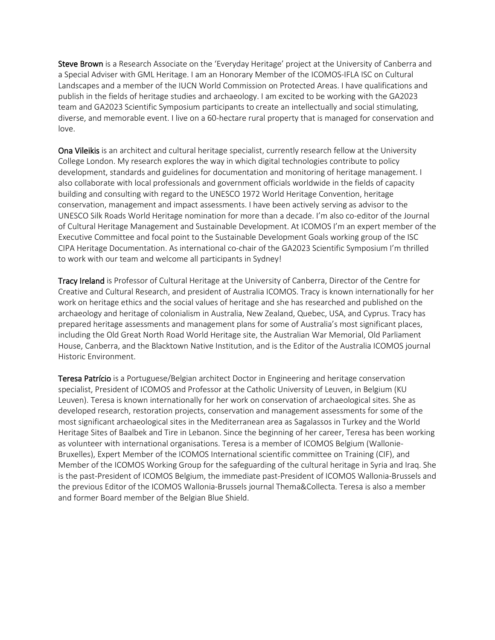Steve Brown is a Research Associate on the 'Everyday Heritage' project at the University of Canberra and a Special Adviser with GML Heritage. I am an Honorary Member of the ICOMOS-IFLA ISC on Cultural Landscapes and a member of the IUCN World Commission on Protected Areas. I have qualifications and publish in the fields of heritage studies and archaeology. I am excited to be working with the GA2023 team and GA2023 Scientific Symposium participants to create an intellectually and social stimulating, diverse, and memorable event. I live on a 60-hectare rural property that is managed for conservation and love.

Ona Vileikis is an architect and cultural heritage specialist, currently research fellow at the University College London. My research explores the way in which digital technologies contribute to policy development, standards and guidelines for documentation and monitoring of heritage management. I also collaborate with local professionals and government officials worldwide in the fields of capacity building and consulting with regard to the UNESCO 1972 World Heritage Convention, heritage conservation, management and impact assessments. I have been actively serving as advisor to the UNESCO Silk Roads World Heritage nomination for more than a decade. I'm also co-editor of the Journal of Cultural Heritage Management and Sustainable Development. At ICOMOS I'm an expert member of the Executive Committee and focal point to the Sustainable Development Goals working group of the ISC CIPA Heritage Documentation. As international co-chair of the GA2023 Scientific Symposium I'm thrilled to work with our team and welcome all participants in Sydney!

Tracy Ireland is Professor of Cultural Heritage at the University of Canberra, Director of the Centre for Creative and Cultural Research, and president of Australia ICOMOS. Tracy is known internationally for her work on heritage ethics and the social values of heritage and she has researched and published on the archaeology and heritage of colonialism in Australia, New Zealand, Quebec, USA, and Cyprus. Tracy has prepared heritage assessments and management plans for some of Australia's most significant places, including the Old Great North Road World Heritage site, the Australian War Memorial, Old Parliament House, Canberra, and the Blacktown Native Institution, and is the Editor of the Australia ICOMOS journal Historic Environment.

Teresa Patrício is a Portuguese/Belgian architect Doctor in Engineering and heritage conservation specialist, President of ICOMOS and Professor at the Catholic University of Leuven, in Belgium (KU Leuven). Teresa is known internationally for her work on conservation of archaeological sites. She as developed research, restoration projects, conservation and management assessments for some of the most significant archaeological sites in the Mediterranean area as Sagalassos in Turkey and the World Heritage Sites of Baalbek and Tire in Lebanon. Since the beginning of her career, Teresa has been working as volunteer with international organisations. Teresa is a member of ICOMOS Belgium (Wallonie-Bruxelles), Expert Member of the ICOMOS International scientific committee on Training (CIF), and Member of the ICOMOS Working Group for the safeguarding of the cultural heritage in Syria and Iraq. She is the past-President of ICOMOS Belgium, the immediate past-President of ICOMOS Wallonia-Brussels and the previous Editor of the ICOMOS Wallonia-Brussels journal Thema&Collecta. Teresa is also a member and former Board member of the Belgian Blue Shield.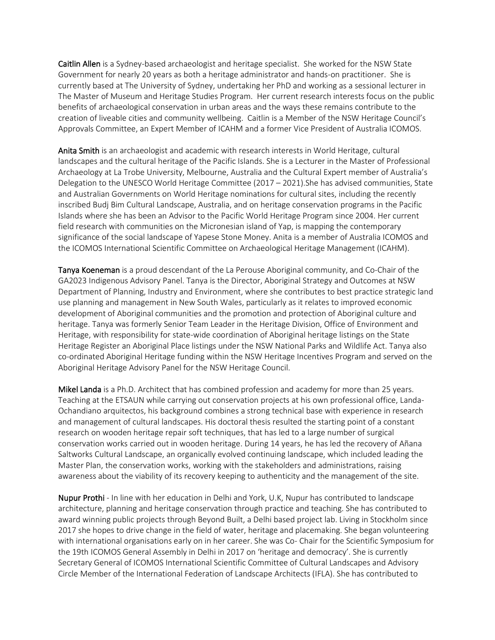Caitlin Allen is a Sydney-based archaeologist and heritage specialist. She worked for the NSW State Government for nearly 20 years as both a heritage administrator and hands-on practitioner. She is currently based at The University of Sydney, undertaking her PhD and working as a sessional lecturer in The Master of Museum and Heritage Studies Program. Her current research interests focus on the public benefits of archaeological conservation in urban areas and the ways these remains contribute to the creation of liveable cities and community wellbeing. Caitlin is a Member of the NSW Heritage Council's Approvals Committee, an Expert Member of ICAHM and a former Vice President of Australia ICOMOS.

Anita Smith is an archaeologist and academic with research interests in World Heritage, cultural landscapes and the cultural heritage of the Pacific Islands. She is a Lecturer in the Master of Professional Archaeology at La Trobe University, Melbourne, Australia and the Cultural Expert member of Australia's Delegation to the UNESCO World Heritage Committee (2017 – 2021).She has advised communities, State and Australian Governments on World Heritage nominations for cultural sites, including the recently inscribed Budj Bim Cultural Landscape, Australia, and on heritage conservation programs in the Pacific Islands where she has been an Advisor to the Pacific World Heritage Program since 2004. Her current field research with communities on the Micronesian island of Yap, is mapping the contemporary significance of the social landscape of Yapese Stone Money. Anita is a member of Australia ICOMOS and the ICOMOS International Scientific Committee on Archaeological Heritage Management (ICAHM).

Tanya Koeneman is a proud descendant of the La Perouse Aboriginal community, and Co-Chair of the GA2023 Indigenous Advisory Panel. Tanya is the Director, Aboriginal Strategy and Outcomes at NSW Department of Planning, Industry and Environment, where she contributes to best practice strategic land use planning and management in New South Wales, particularly as it relates to improved economic development of Aboriginal communities and the promotion and protection of Aboriginal culture and heritage. Tanya was formerly Senior Team Leader in the Heritage Division, Office of Environment and Heritage, with responsibility for state-wide coordination of Aboriginal heritage listings on the State Heritage Register an Aboriginal Place listings under the NSW National Parks and Wildlife Act. Tanya also co-ordinated Aboriginal Heritage funding within the NSW Heritage Incentives Program and served on the Aboriginal Heritage Advisory Panel for the NSW Heritage Council.

Mikel Landa is a Ph.D. Architect that has combined profession and academy for more than 25 years. Teaching at the ETSAUN while carrying out conservation projects at his own professional office, Landa-Ochandiano arquitectos, his background combines a strong technical base with experience in research and management of cultural landscapes. His doctoral thesis resulted the starting point of a constant research on wooden heritage repair soft techniques, that has led to a large number of surgical conservation works carried out in wooden heritage. During 14 years, he has led the recovery of Añana Saltworks Cultural Landscape, an organically evolved continuing landscape, which included leading the Master Plan, the conservation works, working with the stakeholders and administrations, raising awareness about the viability of its recovery keeping to authenticity and the management of the site.

Nupur Prothi - In line with her education in Delhi and York, U.K, Nupur has contributed to landscape architecture, planning and heritage conservation through practice and teaching. She has contributed to award winning public projects through Beyond Built, a Delhi based project lab. Living in Stockholm since 2017 she hopes to drive change in the field of water, heritage and placemaking. She began volunteering with international organisations early on in her career. She was Co- Chair for the Scientific Symposium for the 19th ICOMOS General Assembly in Delhi in 2017 on 'heritage and democracy'. She is currently Secretary General of ICOMOS International Scientific Committee of Cultural Landscapes and Advisory Circle Member of the International Federation of Landscape Architects (IFLA). She has contributed to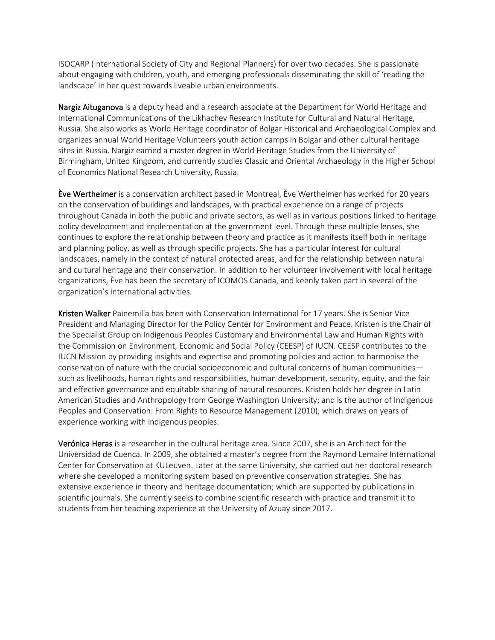ISOCARP (International Society of City and Regional Planners) for over two decades. She is passionate about engaging with children, youth, and emerging professionals disseminating the skill of 'reading the landscape' in her quest towards liveable urban environments.

Nargiz Aituganova is a deputy head and a research associate at the Department for World Heritage and International Communications of the Likhachev Research Institute for Cultural and Natural Heritage, Russia. She also works as World Heritage coordinator of Bolgar Historical and Archaeological Complex and organizes annual World Heritage Volunteers youth action camps in Bolgar and other cultural heritage sites in Russia. Nargiz earned a master degree in World Heritage Studies from the University of Birmingham, United Kingdom, and currently studies Classic and Oriental Archaeology in the Higher School of Economics National Research University, Russia.

Ève Wertheimer is a conservation architect based in Montreal, Ève Wertheimer has worked for 20 years on the conservation of buildings and landscapes, with practical experience on a range of projects throughout Canada in both the public and private sectors, as well as in various positions linked to heritage policy development and implementation at the government level. Through these multiple lenses, she continues to explore the relationship between theory and practice as it manifests itself both in heritage and planning policy, as well as through specific projects. She has a particular interest for cultural landscapes, namely in the context of natural protected areas, and for the relationship between natural and cultural heritage and their conservation. In addition to her volunteer involvement with local heritage organizations, Ève has been the secretary of ICOMOS Canada, and keenly taken part in several of the organization's international activities.

Kristen Walker Painemilla has been with Conservation International for 17 years. She is Senior Vice President and Managing Director for the Policy Center for Environment and Peace. Kristen is the Chair of the Specialist Group on Indigenous Peoples Customary and Environmental Law and Human Rights with the Commission on Environment, Economic and Social Policy (CEESP) of IUCN. CEESP contributes to the IUCN Mission by providing insights and expertise and promoting policies and action to harmonise the conservation of nature with the crucial socioeconomic and cultural concerns of human communities such as livelihoods, human rights and responsibilities, human development, security, equity, and the fair and effective governance and equitable sharing of natural resources. Kristen holds her degree in Latin American Studies and Anthropology from George Washington University; and is the author of Indigenous Peoples and Conservation: From Rights to Resource Management (2010), which draws on years of experience working with indigenous peoples.

Verónica Heras is a researcher in the cultural heritage area. Since 2007, she is an Architect for the Universidad de Cuenca. In 2009, she obtained a master's degree from the Raymond Lemaire International Center for Conservation at KULeuven. Later at the same University, she carried out her doctoral research where she developed a monitoring system based on preventive conservation strategies. She has extensive experience in theory and heritage documentation; which are supported by publications in scientific journals. She currently seeks to combine scientific research with practice and transmit it to students from her teaching experience at the University of Azuay since 2017.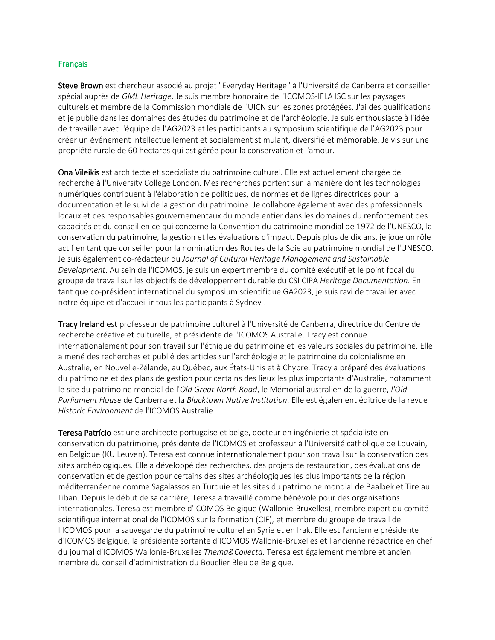## Français

Steve Brown est chercheur associé au projet "Everyday Heritage" à l'Université de Canberra et conseiller spécial auprès de *GML Heritage*. Je suis membre honoraire de l'ICOMOS-IFLA ISC sur les paysages culturels et membre de la Commission mondiale de l'UICN sur les zones protégées. J'ai des qualifications et je publie dans les domaines des études du patrimoine et de l'archéologie. Je suis enthousiaste à l'idée de travailler avec l'équipe de l'AG2023 et les participants au symposium scientifique de l'AG2023 pour créer un événement intellectuellement et socialement stimulant, diversifié et mémorable. Je vis sur une propriété rurale de 60 hectares qui est gérée pour la conservation et l'amour.

Ona Vileikis est architecte et spécialiste du patrimoine culturel. Elle est actuellement chargée de recherche à l'University College London. Mes recherches portent sur la manière dont les technologies numériques contribuent à l'élaboration de politiques, de normes et de lignes directrices pour la documentation et le suivi de la gestion du patrimoine. Je collabore également avec des professionnels locaux et des responsables gouvernementaux du monde entier dans les domaines du renforcement des capacités et du conseil en ce qui concerne la Convention du patrimoine mondial de 1972 de l'UNESCO, la conservation du patrimoine, la gestion et les évaluations d'impact. Depuis plus de dix ans, je joue un rôle actif en tant que conseiller pour la nomination des Routes de la Soie au patrimoine mondial de l'UNESCO. Je suis également co-rédacteur du *Journal of Cultural Heritage Management and Sustainable Development*. Au sein de l'ICOMOS, je suis un expert membre du comité exécutif et le point focal du groupe de travail sur les objectifs de développement durable du CSI CIPA *Heritage Documentation*. En tant que co-président international du symposium scientifique GA2023, je suis ravi de travailler avec notre équipe et d'accueillir tous les participants à Sydney !

Tracy Ireland est professeur de patrimoine culturel à l'Université de Canberra, directrice du Centre de recherche créative et culturelle, et présidente de l'ICOMOS Australie. Tracy est connue internationalement pour son travail sur l'éthique du patrimoine et les valeurs sociales du patrimoine. Elle a mené des recherches et publié des articles sur l'archéologie et le patrimoine du colonialisme en Australie, en Nouvelle-Zélande, au Québec, aux États-Unis et à Chypre. Tracy a préparé des évaluations du patrimoine et des plans de gestion pour certains des lieux les plus importants d'Australie, notamment le site du patrimoine mondial de l'*Old Great North Road*, le Mémorial australien de la guerre, *l'Old Parliament House* de Canberra et la *Blacktown Native Institution*. Elle est également éditrice de la revue *Historic Environment* de l'ICOMOS Australie.

Teresa Patrício est une architecte portugaise et belge, docteur en ingénierie et spécialiste en conservation du patrimoine, présidente de l'ICOMOS et professeur à l'Université catholique de Louvain, en Belgique (KU Leuven). Teresa est connue internationalement pour son travail sur la conservation des sites archéologiques. Elle a développé des recherches, des projets de restauration, des évaluations de conservation et de gestion pour certains des sites archéologiques les plus importants de la région méditerranéenne comme Sagalassos en Turquie et les sites du patrimoine mondial de Baalbek et Tire au Liban. Depuis le début de sa carrière, Teresa a travaillé comme bénévole pour des organisations internationales. Teresa est membre d'ICOMOS Belgique (Wallonie-Bruxelles), membre expert du comité scientifique international de l'ICOMOS sur la formation (CIF), et membre du groupe de travail de l'ICOMOS pour la sauvegarde du patrimoine culturel en Syrie et en Irak. Elle est l'ancienne présidente d'ICOMOS Belgique, la présidente sortante d'ICOMOS Wallonie-Bruxelles et l'ancienne rédactrice en chef du journal d'ICOMOS Wallonie-Bruxelles *Thema&Collecta*. Teresa est également membre et ancien membre du conseil d'administration du Bouclier Bleu de Belgique.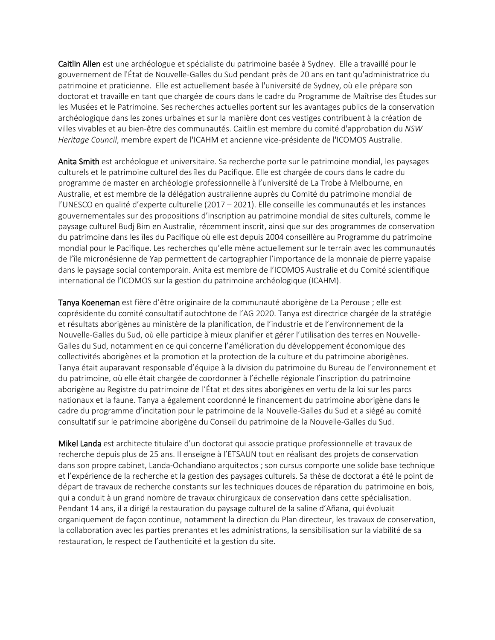Caitlin Allen est une archéologue et spécialiste du patrimoine basée à Sydney. Elle a travaillé pour le gouvernement de l'État de Nouvelle-Galles du Sud pendant près de 20 ans en tant qu'administratrice du patrimoine et praticienne. Elle est actuellement basée à l'université de Sydney, où elle prépare son doctorat et travaille en tant que chargée de cours dans le cadre du Programme de Maîtrise des Études sur les Musées et le Patrimoine. Ses recherches actuelles portent sur les avantages publics de la conservation archéologique dans les zones urbaines et sur la manière dont ces vestiges contribuent à la création de villes vivables et au bien-être des communautés. Caitlin est membre du comité d'approbation du *NSW Heritage Council*, membre expert de l'ICAHM et ancienne vice-présidente de l'ICOMOS Australie.

Anita Smith est archéologue et universitaire. Sa recherche porte sur le patrimoine mondial, les paysages culturels et le patrimoine culturel des îles du Pacifique. Elle est chargée de cours dans le cadre du programme de master en archéologie professionnelle à l'université de La Trobe à Melbourne, en Australie, et est membre de la délégation australienne auprès du Comité du patrimoine mondial de l'UNESCO en qualité d'experte culturelle (2017 – 2021). Elle conseille les communautés et les instances gouvernementales sur des propositions d'inscription au patrimoine mondial de sites culturels, comme le paysage culturel Budj Bim en Australie, récemment inscrit, ainsi que sur des programmes de conservation du patrimoine dans les îles du Pacifique où elle est depuis 2004 conseillère au Programme du patrimoine mondial pour le Pacifique. Les recherches qu'elle mène actuellement sur le terrain avec les communautés de l'île micronésienne de Yap permettent de cartographier l'importance de la monnaie de pierre yapaise dans le paysage social contemporain. Anita est membre de l'ICOMOS Australie et du Comité scientifique international de l'ICOMOS sur la gestion du patrimoine archéologique (ICAHM).

Tanya Koeneman est fière d'être originaire de la communauté aborigène de La Perouse ; elle est coprésidente du comité consultatif autochtone de l'AG 2020. Tanya est directrice chargée de la stratégie et résultats aborigènes au ministère de la planification, de l'industrie et de l'environnement de la Nouvelle-Galles du Sud, où elle participe à mieux planifier et gérer l'utilisation des terres en Nouvelle-Galles du Sud, notamment en ce qui concerne l'amélioration du développement économique des collectivités aborigènes et la promotion et la protection de la culture et du patrimoine aborigènes. Tanya était auparavant responsable d'équipe à la division du patrimoine du Bureau de l'environnement et du patrimoine, où elle était chargée de coordonner à l'échelle régionale l'inscription du patrimoine aborigène au Registre du patrimoine de l'État et des sites aborigènes en vertu de la loi sur les parcs nationaux et la faune. Tanya a également coordonné le financement du patrimoine aborigène dans le cadre du programme d'incitation pour le patrimoine de la Nouvelle-Galles du Sud et a siégé au comité consultatif sur le patrimoine aborigène du Conseil du patrimoine de la Nouvelle-Galles du Sud.

Mikel Landa est architecte titulaire d'un doctorat qui associe pratique professionnelle et travaux de recherche depuis plus de 25 ans. Il enseigne à l'ETSAUN tout en réalisant des projets de conservation dans son propre cabinet, Landa-Ochandiano arquitectos ; son cursus comporte une solide base technique et l'expérience de la recherche et la gestion des paysages culturels. Sa thèse de doctorat a été le point de départ de travaux de recherche constants sur les techniques douces de réparation du patrimoine en bois, qui a conduit à un grand nombre de travaux chirurgicaux de conservation dans cette spécialisation. Pendant 14 ans, il a dirigé la restauration du paysage culturel de la saline d'Añana, qui évoluait organiquement de façon continue, notamment la direction du Plan directeur, les travaux de conservation, la collaboration avec les parties prenantes et les administrations, la sensibilisation sur la viabilité de sa restauration, le respect de l'authenticité et la gestion du site.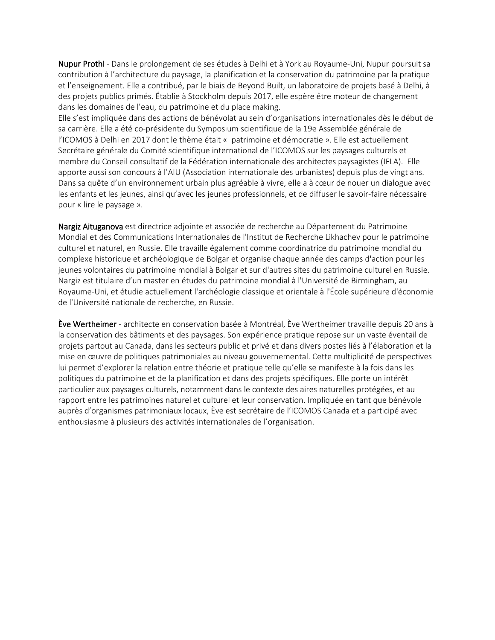Nupur Prothi - Dans le prolongement de ses études à Delhi et à York au Royaume-Uni, Nupur poursuit sa contribution à l'architecture du paysage, la planification et la conservation du patrimoine par la pratique et l'enseignement. Elle a contribué, par le biais de Beyond Built, un laboratoire de projets basé à Delhi, à des projets publics primés. Établie à Stockholm depuis 2017, elle espère être moteur de changement dans les domaines de l'eau, du patrimoine et du place making.

Elle s'est impliquée dans des actions de bénévolat au sein d'organisations internationales dès le début de sa carrière. Elle a été co-présidente du Symposium scientifique de la 19e Assemblée générale de l'ICOMOS à Delhi en 2017 dont le thème était « patrimoine et démocratie ». Elle est actuellement Secrétaire générale du Comité scientifique international de l'ICOMOS sur les paysages culturels et membre du Conseil consultatif de la Fédération internationale des architectes paysagistes (IFLA). Elle apporte aussi son concours à l'AIU (Association internationale des urbanistes) depuis plus de vingt ans. Dans sa quête d'un environnement urbain plus agréable à vivre, elle a à cœur de nouer un dialogue avec les enfants et les jeunes, ainsi qu'avec les jeunes professionnels, et de diffuser le savoir-faire nécessaire pour « lire le paysage ».

Nargiz Aituganova est directrice adjointe et associée de recherche au Département du Patrimoine Mondial et des Communications Internationales de l'Institut de Recherche Likhachev pour le patrimoine culturel et naturel, en Russie. Elle travaille également comme coordinatrice du patrimoine mondial du complexe historique et archéologique de Bolgar et organise chaque année des camps d'action pour les jeunes volontaires du patrimoine mondial à Bolgar et sur d'autres sites du patrimoine culturel en Russie. Nargiz est titulaire d'un master en études du patrimoine mondial à l'Université de Birmingham, au Royaume-Uni, et étudie actuellement l'archéologie classique et orientale à l'École supérieure d'économie de l'Université nationale de recherche, en Russie.

Ève Wertheimer - architecte en conservation basée à Montréal, Ève Wertheimer travaille depuis 20 ans à la conservation des bâtiments et des paysages. Son expérience pratique repose sur un vaste éventail de projets partout au Canada, dans les secteurs public et privé et dans divers postes liés à l'élaboration et la mise en œuvre de politiques patrimoniales au niveau gouvernemental. Cette multiplicité de perspectives lui permet d'explorer la relation entre théorie et pratique telle qu'elle se manifeste à la fois dans les politiques du patrimoine et de la planification et dans des projets spécifiques. Elle porte un intérêt particulier aux paysages culturels, notamment dans le contexte des aires naturelles protégées, et au rapport entre les patrimoines naturel et culturel et leur conservation. Impliquée en tant que bénévole auprès d'organismes patrimoniaux locaux, Ève est secrétaire de l'ICOMOS Canada et a participé avec enthousiasme à plusieurs des activités internationales de l'organisation.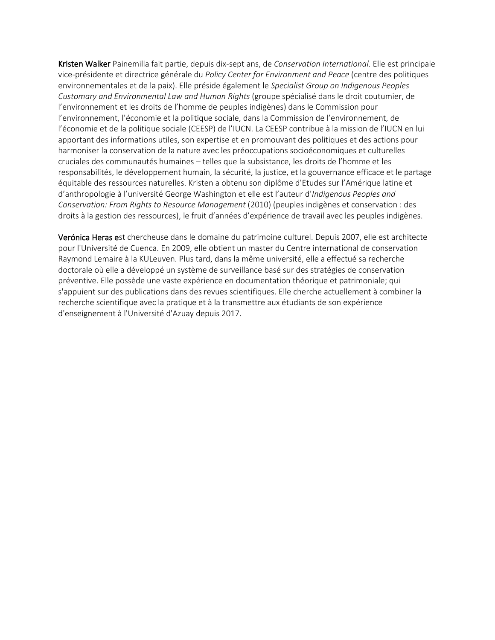Kristen Walker Painemilla fait partie, depuis dix-sept ans, de *Conservation International*. Elle est principale vice-présidente et directrice générale du *Policy Center for Environment and Peace* (centre des politiques environnementales et de la paix). Elle préside également le *Specialist Group on Indigenous Peoples Customary and Environmental Law and Human Rights* (groupe spécialisé dans le droit coutumier, de l'environnement et les droits de l'homme de peuples indigènes) dans le Commission pour l'environnement, l'économie et la politique sociale, dans la Commission de l'environnement, de l'économie et de la politique sociale (CEESP) de l'IUCN. La CEESP contribue à la mission de l'IUCN en lui apportant des informations utiles, son expertise et en promouvant des politiques et des actions pour harmoniser la conservation de la nature avec les préoccupations socioéconomiques et culturelles cruciales des communautés humaines – telles que la subsistance, les droits de l'homme et les responsabilités, le développement humain, la sécurité, la justice, et la gouvernance efficace et le partage équitable des ressources naturelles. Kristen a obtenu son diplôme d'Etudes sur l'Amérique latine et d'anthropologie à l'université George Washington et elle est l'auteur d'*Indigenous Peoples and Conservation: From Rights to Resource Management* (2010) (peuples indigènes et conservation : des droits à la gestion des ressources), le fruit d'années d'expérience de travail avec les peuples indigènes.

Verónica Heras est chercheuse dans le domaine du patrimoine culturel. Depuis 2007, elle est architecte pour l'Université de Cuenca. En 2009, elle obtient un master du Centre international de conservation Raymond Lemaire à la KULeuven. Plus tard, dans la même université, elle a effectué sa recherche doctorale où elle a développé un système de surveillance basé sur des stratégies de conservation préventive. Elle possède une vaste expérience en documentation théorique et patrimoniale; qui s'appuient sur des publications dans des revues scientifiques. Elle cherche actuellement à combiner la recherche scientifique avec la pratique et à la transmettre aux étudiants de son expérience d'enseignement à l'Université d'Azuay depuis 2017.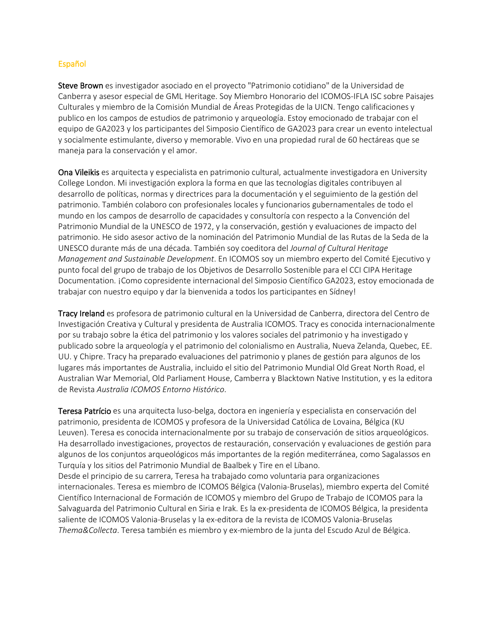## Español

Steve Brown es investigador asociado en el proyecto "Patrimonio cotidiano" de la Universidad de Canberra y asesor especial de GML Heritage. Soy Miembro Honorario del ICOMOS-IFLA ISC sobre Paisajes Culturales y miembro de la Comisión Mundial de Áreas Protegidas de la UICN. Tengo calificaciones y publico en los campos de estudios de patrimonio y arqueología. Estoy emocionado de trabajar con el equipo de GA2023 y los participantes del Simposio Científico de GA2023 para crear un evento intelectual y socialmente estimulante, diverso y memorable. Vivo en una propiedad rural de 60 hectáreas que se maneja para la conservación y el amor.

Ona Vileikis es arquitecta y especialista en patrimonio cultural, actualmente investigadora en University College London. Mi investigación explora la forma en que las tecnologías digitales contribuyen al desarrollo de políticas, normas y directrices para la documentación y el seguimiento de la gestión del patrimonio. También colaboro con profesionales locales y funcionarios gubernamentales de todo el mundo en los campos de desarrollo de capacidades y consultoría con respecto a la Convención del Patrimonio Mundial de la UNESCO de 1972, y la conservación, gestión y evaluaciones de impacto del patrimonio. He sido asesor activo de la nominación del Patrimonio Mundial de las Rutas de la Seda de la UNESCO durante más de una década. También soy coeditora del *Journal of Cultural Heritage Management and Sustainable Development*. En ICOMOS soy un miembro experto del Comité Ejecutivo y punto focal del grupo de trabajo de los Objetivos de Desarrollo Sostenible para el CCI CIPA Heritage Documentation. ¡Como copresidente internacional del Simposio Científico GA2023, estoy emocionada de trabajar con nuestro equipo y dar la bienvenida a todos los participantes en Sídney!

Tracy Ireland es profesora de patrimonio cultural en la Universidad de Canberra, directora del Centro de Investigación Creativa y Cultural y presidenta de Australia ICOMOS. Tracy es conocida internacionalmente por su trabajo sobre la ética del patrimonio y los valores sociales del patrimonio y ha investigado y publicado sobre la arqueología y el patrimonio del colonialismo en Australia, Nueva Zelanda, Quebec, EE. UU. y Chipre. Tracy ha preparado evaluaciones del patrimonio y planes de gestión para algunos de los lugares más importantes de Australia, incluido el sitio del Patrimonio Mundial Old Great North Road, el Australian War Memorial, Old Parliament House, Camberra y Blacktown Native Institution, y es la editora de Revista *Australia ICOMOS Entorno Histórico*.

Teresa Patrício es una arquitecta luso-belga, doctora en ingeniería y especialista en conservación del patrimonio, presidenta de ICOMOS y profesora de la Universidad Católica de Lovaina, Bélgica (KU Leuven). Teresa es conocida internacionalmente por su trabajo de conservación de sitios arqueológicos. Ha desarrollado investigaciones, proyectos de restauración, conservación y evaluaciones de gestión para algunos de los conjuntos arqueológicos más importantes de la región mediterránea, como Sagalassos en Turquía y los sitios del Patrimonio Mundial de Baalbek y Tire en el Líbano. Desde el principio de su carrera, Teresa ha trabajado como voluntaria para organizaciones internacionales. Teresa es miembro de ICOMOS Bélgica (Valonia-Bruselas), miembro experta del Comité Científico Internacional de Formación de ICOMOS y miembro del Grupo de Trabajo de ICOMOS para la Salvaguarda del Patrimonio Cultural en Siria e Irak. Es la ex-presidenta de ICOMOS Bélgica, la presidenta saliente de ICOMOS Valonia-Bruselas y la ex-editora de la revista de ICOMOS Valonia-Bruselas

*Thema&Collecta*. Teresa también es miembro y ex-miembro de la junta del Escudo Azul de Bélgica.